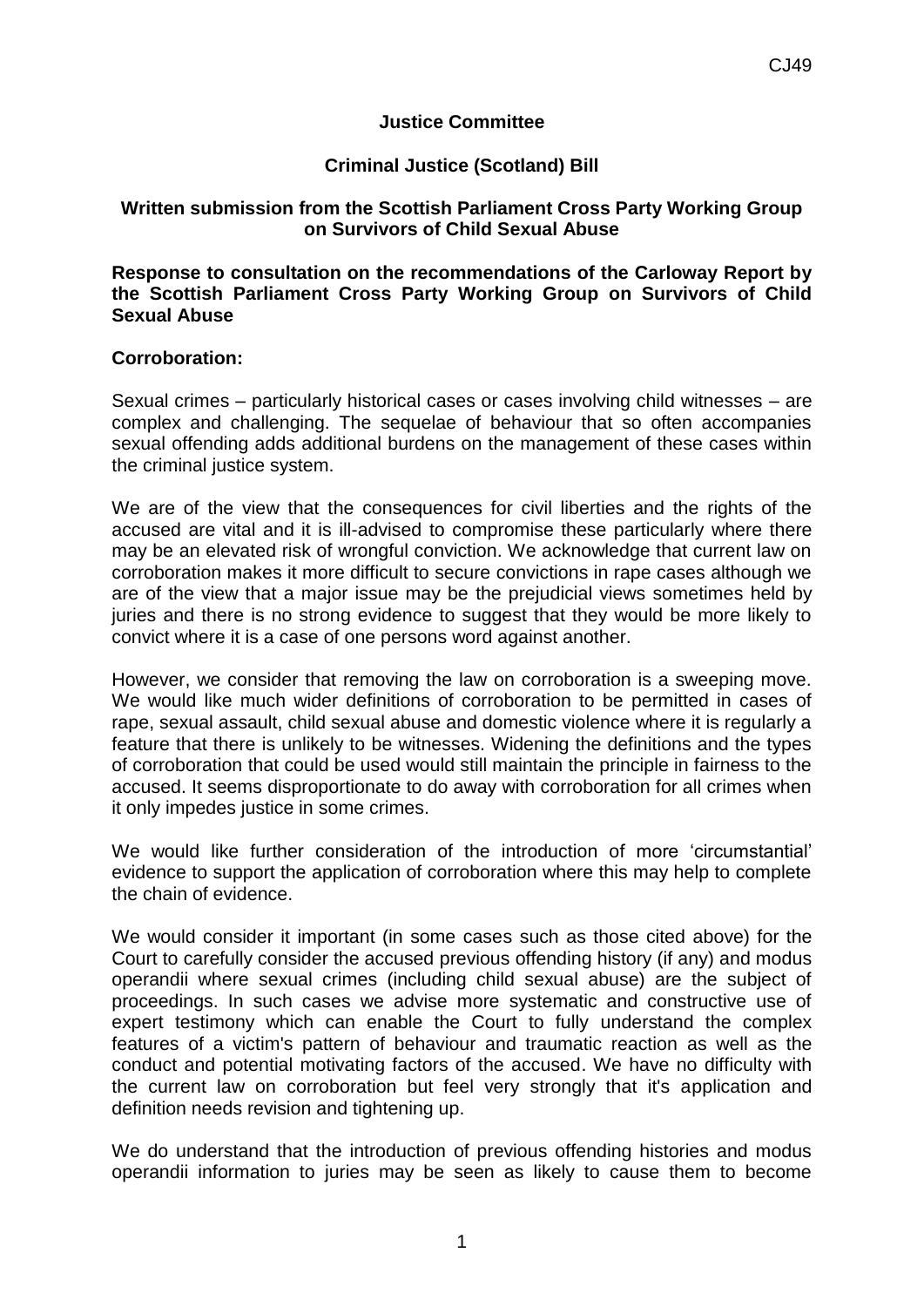## **Justice Committee**

## **Criminal Justice (Scotland) Bill**

## **Written submission from the Scottish Parliament Cross Party Working Group on Survivors of Child Sexual Abuse**

**Response to consultation on the recommendations of the Carloway Report by the Scottish Parliament Cross Party Working Group on Survivors of Child Sexual Abuse**

## **Corroboration:**

Sexual crimes – particularly historical cases or cases involving child witnesses – are complex and challenging. The sequelae of behaviour that so often accompanies sexual offending adds additional burdens on the management of these cases within the criminal justice system.

We are of the view that the consequences for civil liberties and the rights of the accused are vital and it is ill-advised to compromise these particularly where there may be an elevated risk of wrongful conviction. We acknowledge that current law on corroboration makes it more difficult to secure convictions in rape cases although we are of the view that a major issue may be the prejudicial views sometimes held by juries and there is no strong evidence to suggest that they would be more likely to convict where it is a case of one persons word against another.

However, we consider that removing the law on corroboration is a sweeping move. We would like much wider definitions of corroboration to be permitted in cases of rape, sexual assault, child sexual abuse and domestic violence where it is regularly a feature that there is unlikely to be witnesses. Widening the definitions and the types of corroboration that could be used would still maintain the principle in fairness to the accused. It seems disproportionate to do away with corroboration for all crimes when it only impedes justice in some crimes.

We would like further consideration of the introduction of more 'circumstantial' evidence to support the application of corroboration where this may help to complete the chain of evidence.

We would consider it important (in some cases such as those cited above) for the Court to carefully consider the accused previous offending history (if any) and modus operandii where sexual crimes (including child sexual abuse) are the subject of proceedings. In such cases we advise more systematic and constructive use of expert testimony which can enable the Court to fully understand the complex features of a victim's pattern of behaviour and traumatic reaction as well as the conduct and potential motivating factors of the accused. We have no difficulty with the current law on corroboration but feel very strongly that it's application and definition needs revision and tightening up.

We do understand that the introduction of previous offending histories and modus operandii information to juries may be seen as likely to cause them to become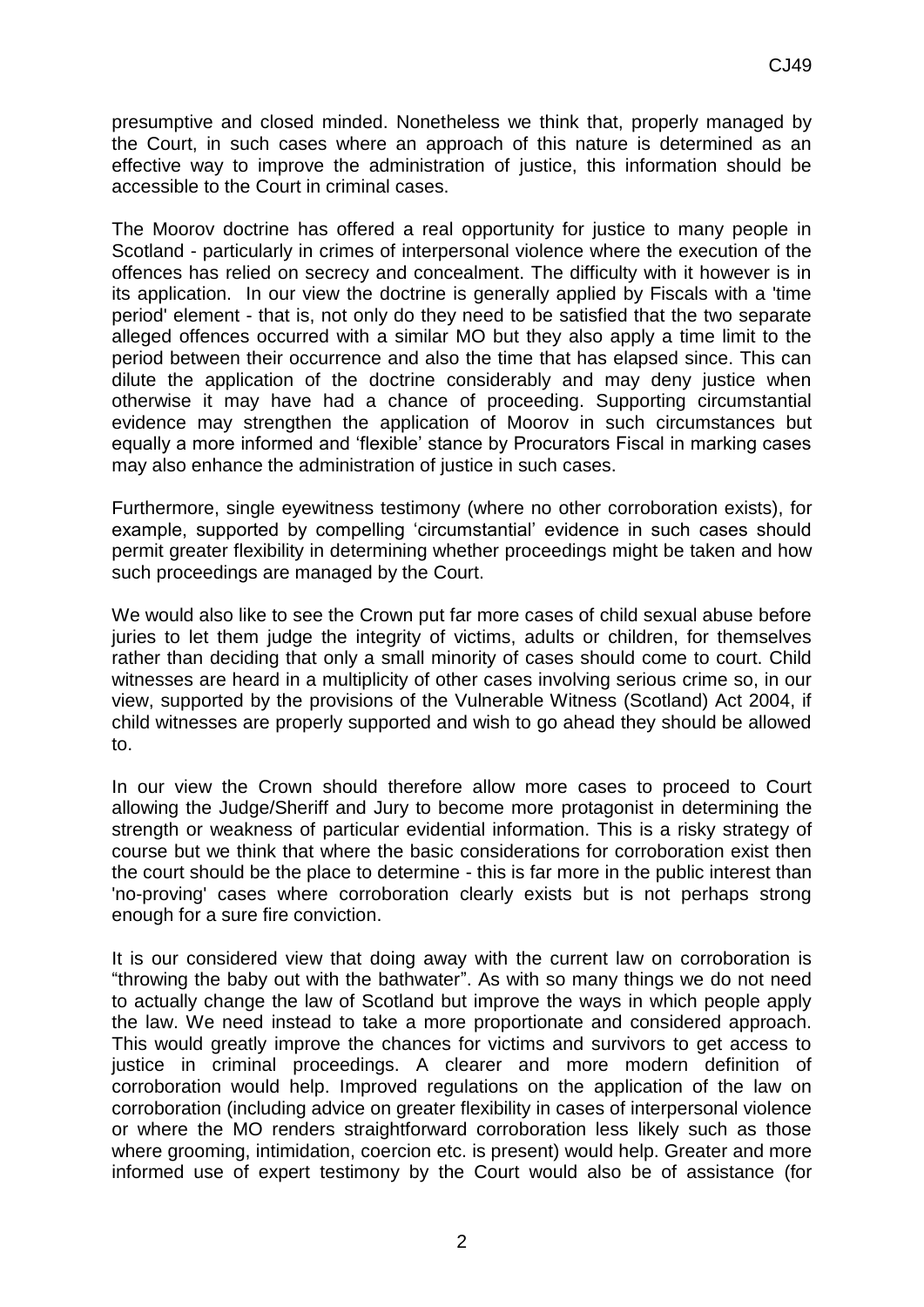presumptive and closed minded. Nonetheless we think that, properly managed by the Court, in such cases where an approach of this nature is determined as an effective way to improve the administration of justice, this information should be accessible to the Court in criminal cases.

The Moorov doctrine has offered a real opportunity for justice to many people in Scotland - particularly in crimes of interpersonal violence where the execution of the offences has relied on secrecy and concealment. The difficulty with it however is in its application. In our view the doctrine is generally applied by Fiscals with a 'time period' element - that is, not only do they need to be satisfied that the two separate alleged offences occurred with a similar MO but they also apply a time limit to the period between their occurrence and also the time that has elapsed since. This can dilute the application of the doctrine considerably and may deny justice when otherwise it may have had a chance of proceeding. Supporting circumstantial evidence may strengthen the application of Moorov in such circumstances but equally a more informed and 'flexible' stance by Procurators Fiscal in marking cases may also enhance the administration of justice in such cases.

Furthermore, single eyewitness testimony (where no other corroboration exists), for example, supported by compelling 'circumstantial' evidence in such cases should permit greater flexibility in determining whether proceedings might be taken and how such proceedings are managed by the Court.

We would also like to see the Crown put far more cases of child sexual abuse before juries to let them judge the integrity of victims, adults or children, for themselves rather than deciding that only a small minority of cases should come to court. Child witnesses are heard in a multiplicity of other cases involving serious crime so, in our view, supported by the provisions of the Vulnerable Witness (Scotland) Act 2004, if child witnesses are properly supported and wish to go ahead they should be allowed to.

In our view the Crown should therefore allow more cases to proceed to Court allowing the Judge/Sheriff and Jury to become more protagonist in determining the strength or weakness of particular evidential information. This is a risky strategy of course but we think that where the basic considerations for corroboration exist then the court should be the place to determine - this is far more in the public interest than 'no-proving' cases where corroboration clearly exists but is not perhaps strong enough for a sure fire conviction.

It is our considered view that doing away with the current law on corroboration is "throwing the baby out with the bathwater". As with so many things we do not need to actually change the law of Scotland but improve the ways in which people apply the law. We need instead to take a more proportionate and considered approach. This would greatly improve the chances for victims and survivors to get access to justice in criminal proceedings. A clearer and more modern definition of corroboration would help. Improved regulations on the application of the law on corroboration (including advice on greater flexibility in cases of interpersonal violence or where the MO renders straightforward corroboration less likely such as those where grooming, intimidation, coercion etc. is present) would help. Greater and more informed use of expert testimony by the Court would also be of assistance (for